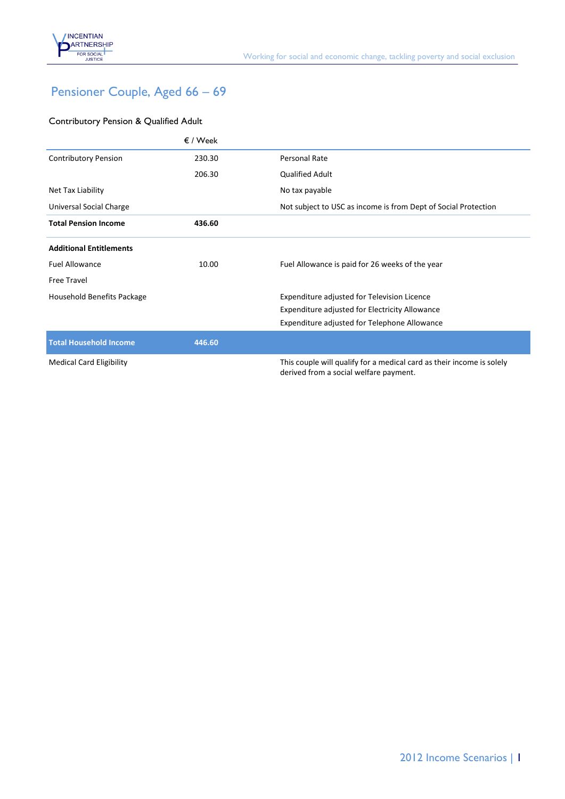

# Pensioner Couple, Aged 66 – 69

### Contributory Pension & Qualified Adult

|                                 | $\epsilon$ / Week |                                                                                                                 |
|---------------------------------|-------------------|-----------------------------------------------------------------------------------------------------------------|
| <b>Contributory Pension</b>     | 230.30            | Personal Rate                                                                                                   |
|                                 | 206.30            | <b>Qualified Adult</b>                                                                                          |
| Net Tax Liability               |                   | No tax payable                                                                                                  |
| Universal Social Charge         |                   | Not subject to USC as income is from Dept of Social Protection                                                  |
| <b>Total Pension Income</b>     | 436.60            |                                                                                                                 |
| <b>Additional Entitlements</b>  |                   |                                                                                                                 |
| <b>Fuel Allowance</b>           | 10.00             | Fuel Allowance is paid for 26 weeks of the year                                                                 |
| Free Travel                     |                   |                                                                                                                 |
| Household Benefits Package      |                   | Expenditure adjusted for Television Licence                                                                     |
|                                 |                   | Expenditure adjusted for Electricity Allowance                                                                  |
|                                 |                   | Expenditure adjusted for Telephone Allowance                                                                    |
| <b>Total Household Income</b>   | 446.60            |                                                                                                                 |
| <b>Medical Card Eligibility</b> |                   | This couple will qualify for a medical card as their income is solely<br>derived from a social welfare payment. |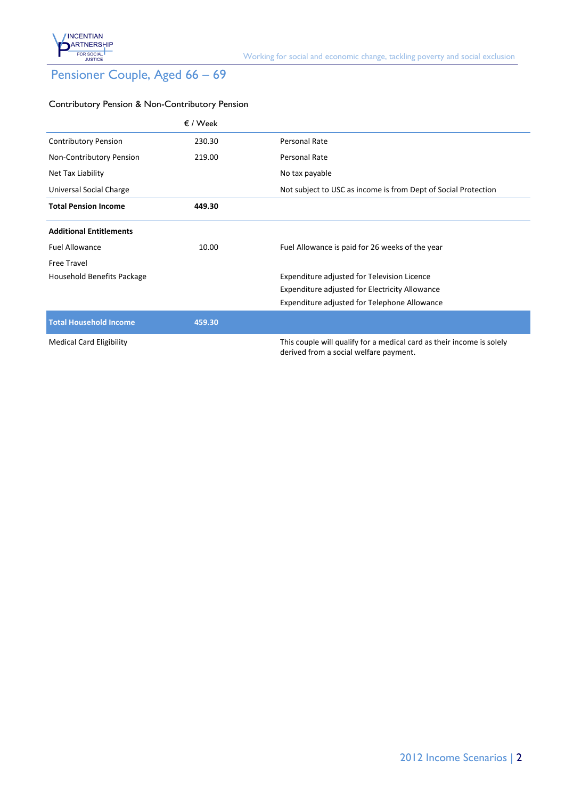

# Pensioner Couple, Aged 66 – 69

#### Contributory Pension & Non-Contributory Pension

|                                 | $\epsilon$ / Week |                                                                                                                 |
|---------------------------------|-------------------|-----------------------------------------------------------------------------------------------------------------|
| <b>Contributory Pension</b>     | 230.30            | Personal Rate                                                                                                   |
| Non-Contributory Pension        | 219.00            | Personal Rate                                                                                                   |
| Net Tax Liability               |                   | No tax payable                                                                                                  |
| Universal Social Charge         |                   | Not subject to USC as income is from Dept of Social Protection                                                  |
| <b>Total Pension Income</b>     | 449.30            |                                                                                                                 |
| <b>Additional Entitlements</b>  |                   |                                                                                                                 |
| <b>Fuel Allowance</b>           | 10.00             | Fuel Allowance is paid for 26 weeks of the year                                                                 |
| <b>Free Travel</b>              |                   |                                                                                                                 |
| Household Benefits Package      |                   | Expenditure adjusted for Television Licence                                                                     |
|                                 |                   | Expenditure adjusted for Electricity Allowance                                                                  |
|                                 |                   | Expenditure adjusted for Telephone Allowance                                                                    |
| <b>Total Household Income</b>   | 459.30            |                                                                                                                 |
| <b>Medical Card Eligibility</b> |                   | This couple will qualify for a medical card as their income is solely<br>derived from a social welfare payment. |